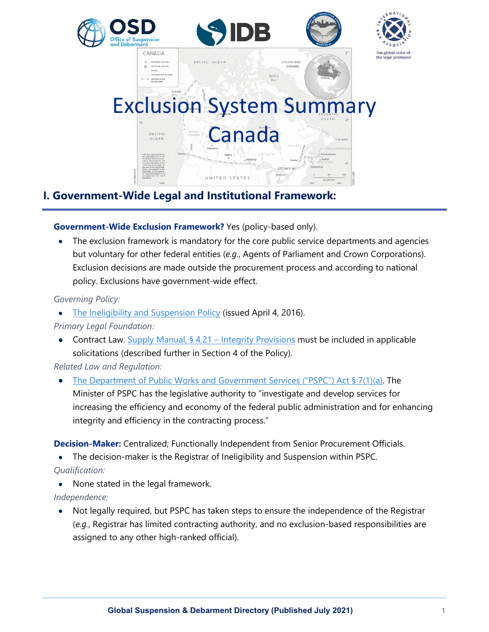

# **I. Government-Wide Legal and Institutional Framework:**

## **Government-Wide Exclusion Framework?** Yes (policy-based only).

The exclusion framework is mandatory for the core public service departments and agencies but voluntary for other federal entities (*e.g.*, Agents of Parliament and Crown Corporations). Exclusion decisions are made outside the procurement process and according to national policy. Exclusions have government-wide effect.

## *Governing Policy:*

• [The Ineligibility and Suspension Policy](https://www.tpsgc-pwgsc.gc.ca/ci-if/politique-policy-eng.html) (issued April 4, 2016).

## *Primary Legal Foundation:*

• Contract Law. [Supply Manual, § 4.21 –](https://buyandsell.gc.ca/policy-and-guidelines/supply-manual/section/4/21) Integrity Provisions must be included in applicable solicitations (described further in Section 4 of the Policy).

## *Related Law and Regulation:*

• [The Department of Public Works and Government Services \("PSPC"\) Act § 7\(1\)\(a\).](https://laws-lois.justice.gc.ca/eng/acts/P-38.2/page-1.html#h-410066) The Minister of PSPC has the legislative authority to "investigate and develop services for increasing the efficiency and economy of the federal public administration and for enhancing integrity and efficiency in the contracting process."

**Decision-Maker:** Centralized; Functionally Independent from Senior Procurement Officials.

• The decision-maker is the Registrar of Ineligibility and Suspension within PSPC. *Qualification:*

• None stated in the legal framework.

*Independence:*

• Not legally required, but PSPC has taken steps to ensure the independence of the Registrar (*e.g.*, Registrar has limited contracting authority, and no exclusion-based responsibilities are assigned to any other high-ranked official).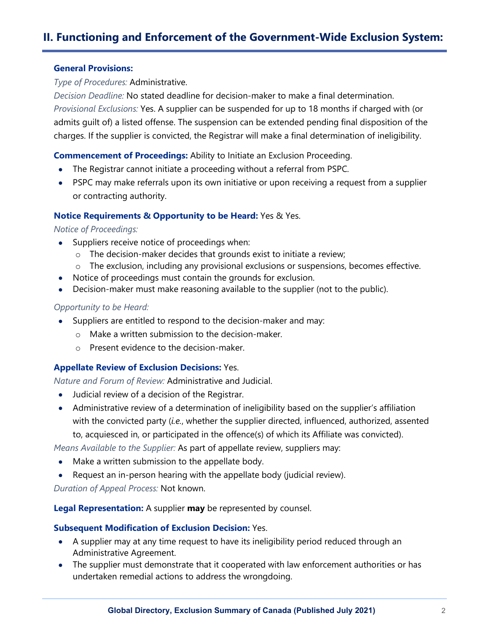# **II. Functioning and Enforcement of the Government-Wide Exclusion System:**

#### **General Provisions:**

*Type of Procedures:* Administrative.

*Decision Deadline:* No stated deadline for decision-maker to make a final determination. *Provisional Exclusions:* Yes. A supplier can be suspended for up to 18 months if charged with (or admits guilt of) a listed offense. The suspension can be extended pending final disposition of the charges. If the supplier is convicted, the Registrar will make a final determination of ineligibility.

**Commencement of Proceedings:** Ability to Initiate an Exclusion Proceeding.

- The Registrar cannot initiate a proceeding without a referral from PSPC.
- PSPC may make referrals upon its own initiative or upon receiving a request from a supplier or contracting authority.

#### **Notice Requirements & Opportunity to be Heard:** Yes & Yes.

#### *Notice of Proceedings:*

- Suppliers receive notice of proceedings when:
	- o The decision-maker decides that grounds exist to initiate a review;
	- o The exclusion, including any provisional exclusions or suspensions, becomes effective.
- Notice of proceedings must contain the grounds for exclusion.
- Decision-maker must make reasoning available to the supplier (not to the public).

#### *Opportunity to be Heard:*

- Suppliers are entitled to respond to the decision-maker and may:
	- o Make a written submission to the decision-maker.
	- o Present evidence to the decision-maker.

#### **Appellate Review of Exclusion Decisions:** Yes.

*Nature and Forum of Review:* Administrative and Judicial.

- Judicial review of a decision of the Registrar.
- Administrative review of a determination of ineligibility based on the supplier's affiliation with the convicted party (*i.e.*, whether the supplier directed, influenced, authorized, assented to, acquiesced in, or participated in the offence(s) of which its Affiliate was convicted).

*Means Available to the Supplier:* As part of appellate review, suppliers may:

- Make a written submission to the appellate body.
- Request an in-person hearing with the appellate body (judicial review).

*Duration of Appeal Process:* Not known.

**Legal Representation:** A supplier **may** be represented by counsel.

#### **Subsequent Modification of Exclusion Decision:** Yes.

- A supplier may at any time request to have its ineligibility period reduced through an Administrative Agreement.
- The supplier must demonstrate that it cooperated with law enforcement authorities or has undertaken remedial actions to address the wrongdoing.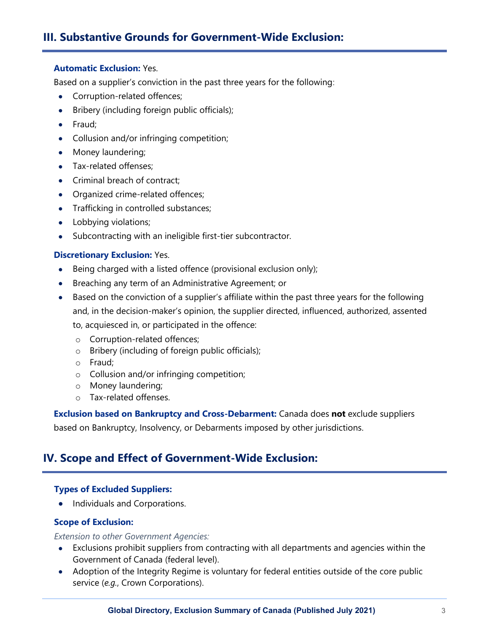# **III. Substantive Grounds for Government-Wide Exclusion:**

#### **Automatic Exclusion:** Yes.

Based on a supplier's conviction in the past three years for the following:

- Corruption-related offences;
- Bribery (including foreign public officials);
- Fraud;
- Collusion and/or infringing competition;
- Money laundering;
- Tax-related offenses:
- Criminal breach of contract;
- Organized crime-related offences;
- Trafficking in controlled substances;
- Lobbying violations;
- Subcontracting with an ineligible first-tier subcontractor.

#### **Discretionary Exclusion:** Yes.

- Being charged with a listed offence (provisional exclusion only);
- Breaching any term of an Administrative Agreement; or
- Based on the conviction of a supplier's affiliate within the past three years for the following and, in the decision-maker's opinion, the supplier directed, influenced, authorized, assented to, acquiesced in, or participated in the offence:
	- o Corruption-related offences;
	- o Bribery (including of foreign public officials);
	- o Fraud;
	- o Collusion and/or infringing competition;
	- o Money laundering;
	- o Tax-related offenses.

**Exclusion based on Bankruptcy and Cross-Debarment:** Canada does **not** exclude suppliers based on Bankruptcy, Insolvency, or Debarments imposed by other jurisdictions.

## **IV. Scope and Effect of Government-Wide Exclusion:**

#### **Types of Excluded Suppliers:**

• Individuals and Corporations.

#### **Scope of Exclusion:**

*Extension to other Government Agencies:*

- Exclusions prohibit suppliers from contracting with all departments and agencies within the Government of Canada (federal level).
- Adoption of the Integrity Regime is voluntary for federal entities outside of the core public service (*e.g.*, Crown Corporations).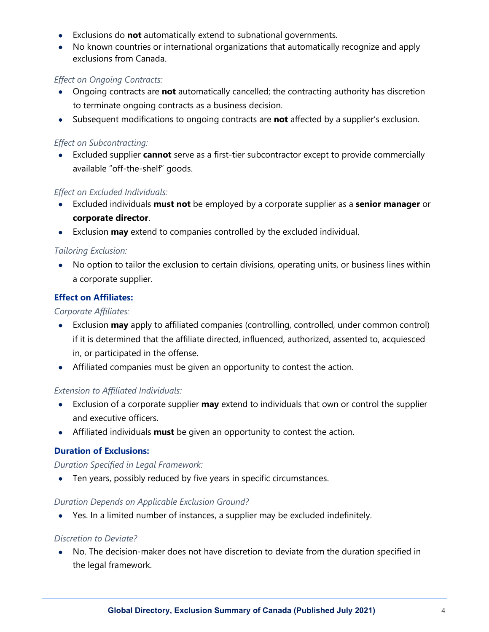- Exclusions do **not** automatically extend to subnational governments.
- No known countries or international organizations that automatically recognize and apply exclusions from Canada.

#### *Effect on Ongoing Contracts:*

- Ongoing contracts are **not** automatically cancelled; the contracting authority has discretion to terminate ongoing contracts as a business decision.
- Subsequent modifications to ongoing contracts are **not** affected by a supplier's exclusion.

## *Effect on Subcontracting:*

• Excluded supplier **cannot** serve as a first-tier subcontractor except to provide commercially available "off-the-shelf" goods.

#### *Effect on Excluded Individuals:*

- Excluded individuals **must not** be employed by a corporate supplier as a **senior manager** or **corporate director**.
- Exclusion **may** extend to companies controlled by the excluded individual.

## *Tailoring Exclusion:*

• No option to tailor the exclusion to certain divisions, operating units, or business lines within a corporate supplier.

## **Effect on Affiliates:**

#### *Corporate Affiliates:*

- Exclusion **may** apply to affiliated companies (controlling, controlled, under common control) if it is determined that the affiliate directed, influenced, authorized, assented to, acquiesced in, or participated in the offense.
- Affiliated companies must be given an opportunity to contest the action.

## *Extension to Affiliated Individuals:*

- Exclusion of a corporate supplier **may** extend to individuals that own or control the supplier and executive officers.
- Affiliated individuals **must** be given an opportunity to contest the action.

#### **Duration of Exclusions:**

#### *Duration Specified in Legal Framework:*

• Ten years, possibly reduced by five years in specific circumstances.

#### *Duration Depends on Applicable Exclusion Ground?*

• Yes. In a limited number of instances, a supplier may be excluded indefinitely.

#### *Discretion to Deviate?*

• No. The decision-maker does not have discretion to deviate from the duration specified in the legal framework.